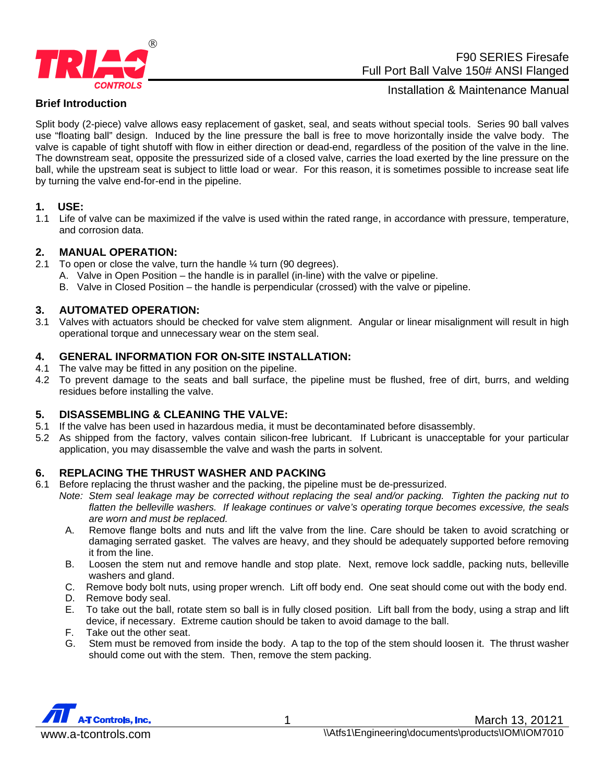

# F90 SERIES Firesafe Full Port Ball Valve 150# ANSI Flanged

# **Brief Introduction**

Installation & Maintenance Manual

Split body (2-piece) valve allows easy replacement of gasket, seal, and seats without special tools. Series 90 ball valves use "floating ball" design. Induced by the line pressure the ball is free to move horizontally inside the valve body. The valve is capable of tight shutoff with flow in either direction or dead-end, regardless of the position of the valve in the line. The downstream seat, opposite the pressurized side of a closed valve, carries the load exerted by the line pressure on the ball, while the upstream seat is subject to little load or wear. For this reason, it is sometimes possible to increase seat life by turning the valve end-for-end in the pipeline.

#### **1. USE:**

1.1 Life of valve can be maximized if the valve is used within the rated range, in accordance with pressure, temperature, and corrosion data.

# **2. MANUAL OPERATION:**

- 2.1 To open or close the valve, turn the handle  $\frac{1}{4}$  turn (90 degrees).
	- A. Valve in Open Position the handle is in parallel (in-line) with the valve or pipeline.
	- B. Valve in Closed Position the handle is perpendicular (crossed) with the valve or pipeline.

# **3. AUTOMATED OPERATION:**

3.1 Valves with actuators should be checked for valve stem alignment. Angular or linear misalignment will result in high operational torque and unnecessary wear on the stem seal.

#### **4. GENERAL INFORMATION FOR ON-SITE INSTALLATION:**

- 4.1 The valve may be fitted in any position on the pipeline.
- 4.2 To prevent damage to the seats and ball surface, the pipeline must be flushed, free of dirt, burrs, and welding residues before installing the valve.

# **5. DISASSEMBLING & CLEANING THE VALVE:**

- 5.1 If the valve has been used in hazardous media, it must be decontaminated before disassembly.
- 5.2 As shipped from the factory, valves contain silicon-free lubricant. If Lubricant is unacceptable for your particular application, you may disassemble the valve and wash the parts in solvent.

# **6. REPLACING THE THRUST WASHER AND PACKING**

- 6.1 Before replacing the thrust washer and the packing, the pipeline must be de-pressurized.
	- *Note: Stem seal leakage may be corrected without replacing the seal and/or packing. Tighten the packing nut to flatten the belleville washers. If leakage continues or valve's operating torque becomes excessive, the seals are worn and must be replaced.* 
		- A. Remove flange bolts and nuts and lift the valve from the line. Care should be taken to avoid scratching or damaging serrated gasket. The valves are heavy, and they should be adequately supported before removing it from the line.
		- B. Loosen the stem nut and remove handle and stop plate. Next, remove lock saddle, packing nuts, belleville washers and gland.
		- C. Remove body bolt nuts, using proper wrench. Lift off body end. One seat should come out with the body end.
		- D. Remove body seal.
		- E. To take out the ball, rotate stem so ball is in fully closed position. Lift ball from the body, using a strap and lift device, if necessary. Extreme caution should be taken to avoid damage to the ball.
		- F. Take out the other seat.
		- G. Stem must be removed from inside the body. A tap to the top of the stem should loosen it. The thrust washer should come out with the stem. Then, remove the stem packing.

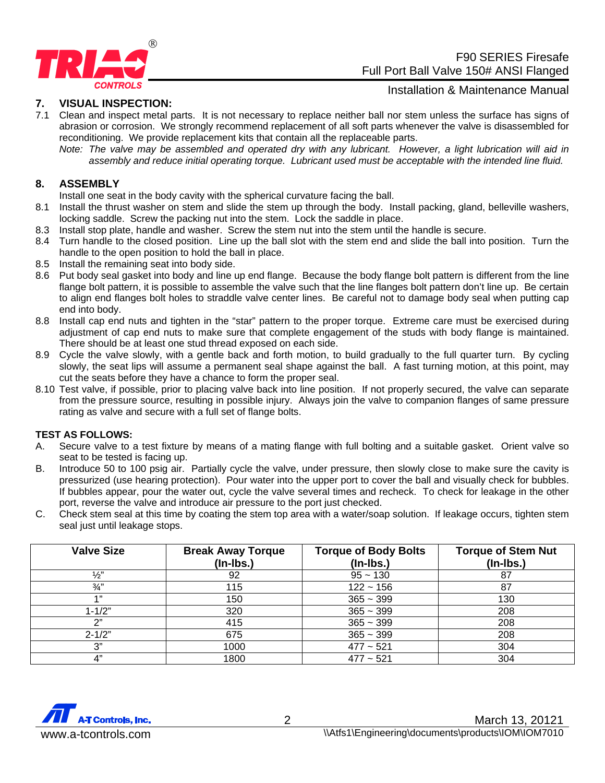

 F90 SERIES Firesafe Full Port Ball Valve 150# ANSI Flanged

#### **7. VISUAL INSPECTION:**

Installation & Maintenance Manual

- 7.1 Clean and inspect metal parts. It is not necessary to replace neither ball nor stem unless the surface has signs of abrasion or corrosion. We strongly recommend replacement of all soft parts whenever the valve is disassembled for reconditioning. We provide replacement kits that contain all the replaceable parts.
	- *Note: The valve may be assembled and operated dry with any lubricant. However, a light lubrication will aid in assembly and reduce initial operating torque. Lubricant used must be acceptable with the intended line fluid.*

#### **8. ASSEMBLY**

Install one seat in the body cavity with the spherical curvature facing the ball.

- 8.1 Install the thrust washer on stem and slide the stem up through the body. Install packing, gland, belleville washers, locking saddle. Screw the packing nut into the stem. Lock the saddle in place.
- 8.3 Install stop plate, handle and washer. Screw the stem nut into the stem until the handle is secure.
- 8.4 Turn handle to the closed position. Line up the ball slot with the stem end and slide the ball into position. Turn the handle to the open position to hold the ball in place.
- 8.5 Install the remaining seat into body side.
- 8.6 Put body seal gasket into body and line up end flange. Because the body flange bolt pattern is different from the line flange bolt pattern, it is possible to assemble the valve such that the line flanges bolt pattern don't line up. Be certain to align end flanges bolt holes to straddle valve center lines. Be careful not to damage body seal when putting cap end into body.
- 8.8 Install cap end nuts and tighten in the "star" pattern to the proper torque. Extreme care must be exercised during adjustment of cap end nuts to make sure that complete engagement of the studs with body flange is maintained. There should be at least one stud thread exposed on each side.
- 8.9 Cycle the valve slowly, with a gentle back and forth motion, to build gradually to the full quarter turn. By cycling slowly, the seat lips will assume a permanent seal shape against the ball. A fast turning motion, at this point, may cut the seats before they have a chance to form the proper seal.
- 8.10 Test valve, if possible, prior to placing valve back into line position. If not properly secured, the valve can separate from the pressure source, resulting in possible injury. Always join the valve to companion flanges of same pressure rating as valve and secure with a full set of flange bolts.

#### **TEST AS FOLLOWS:**

- A. Secure valve to a test fixture by means of a mating flange with full bolting and a suitable gasket. Orient valve so seat to be tested is facing up.
- B. Introduce 50 to 100 psig air. Partially cycle the valve, under pressure, then slowly close to make sure the cavity is pressurized (use hearing protection). Pour water into the upper port to cover the ball and visually check for bubbles. If bubbles appear, pour the water out, cycle the valve several times and recheck. To check for leakage in the other port, reverse the valve and introduce air pressure to the port just checked.
- C. Check stem seal at this time by coating the stem top area with a water/soap solution. If leakage occurs, tighten stem seal just until leakage stops.

| <b>Valve Size</b> | <b>Break Away Torque</b><br>$($ ln-lbs. $)$ | <b>Torque of Body Bolts</b><br>$($ ln-lbs. $)$ | <b>Torque of Stem Nut</b><br>$(In-lbs.)$ |
|-------------------|---------------------------------------------|------------------------------------------------|------------------------------------------|
| $\frac{1}{2}$     | 92                                          | $95 - 130$                                     |                                          |
| $\frac{3}{4}$     | 115                                         | $122 - 156$                                    | -87                                      |
| $A$ 33            | 150                                         | $365 - 399$                                    | 130                                      |
| $1 - 1/2"$        | 320                                         | $365 - 399$                                    | 208                                      |
| יירי              | 415                                         | $365 - 399$                                    | 208                                      |
| $2 - 1/2"$        | 675                                         | $365 - 399$                                    | 208                                      |
| 3"                | 1000                                        | $477 - 521$                                    | 304                                      |
| 4"                | 1800                                        | $477 - 521$                                    | 304                                      |

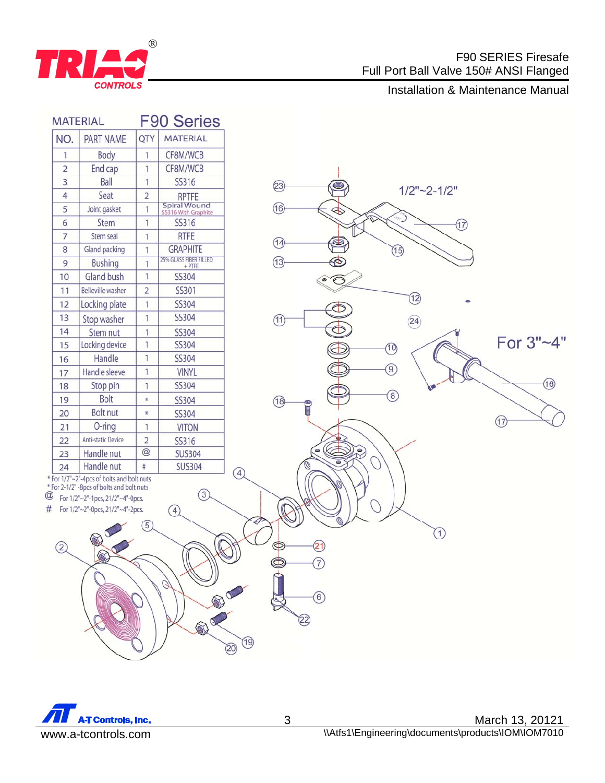

# F90 SERIES Firesafe Full Port Ball Valve 150# ANSI Flanged

# **CONTROLS**<br>Installation & Maintenance Manual